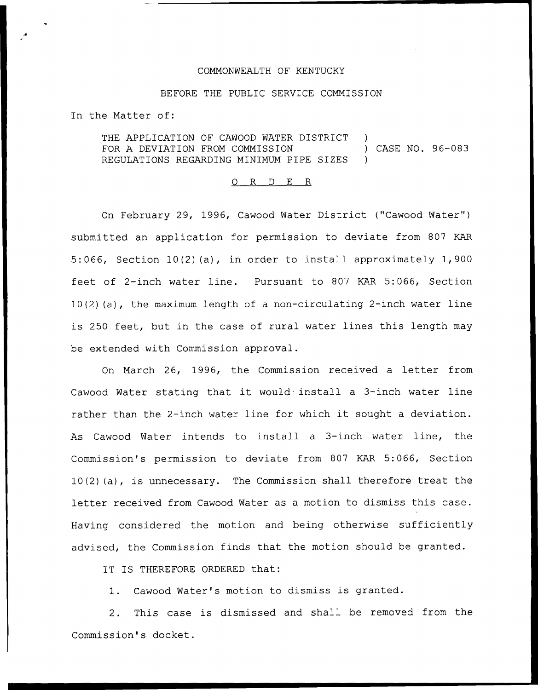## COMMONWEALTH OF KENTUCKY

## BEFORE THE PUBLIC SERVICE COMMISSION

In the Matter of:

THE APPLICATION OF CAWOOD WATER DISTRICT FOR A DEVIATION FROM COMMISSION REGULATIONS REGARDING MINIMUM PIPE SIZES ) ) CASE NO. 96-083 )

## 0 R <sup>D</sup> E R

On February 29, 1996, Cawood Water District ("Cawood Water" ) submitted an application for permission to deviate from 807 KAR 5:066, Section 10{2)(a), in order to install approximately 1, 900 feet of 2-inch water line. Pursuant to 807 KAR 5:066, Section 10(2) {a), the maximum length of <sup>a</sup> non-circulating 2-inch water line is 250 feet, but in the case of rural water lines this length may be extended with Commission approval.

On March 26, 1996, the Commission received a letter from Cawood Water stating that it would install <sup>a</sup> 3-inch water line rather than the 2-inch water line for which it sought <sup>a</sup> deviation. As Cawood Water intends to install a 3-inch water line, the Commission's permission to deviate from 807 KAR 5:066, Section 10(2)(a), is unnecessary. The Commission shall therefore treat the letter received from Cawood Water as <sup>a</sup> motion to dismiss this case. Having considered the motion and being otherwise sufficiently advised, the Commission finds that the motion should be granted.

IT IS THEREFORE ORDERED that:

1. Cawood Water's motion to dismiss is granted.

2. This case is dismissed and shall be removed from the Commission's docket.